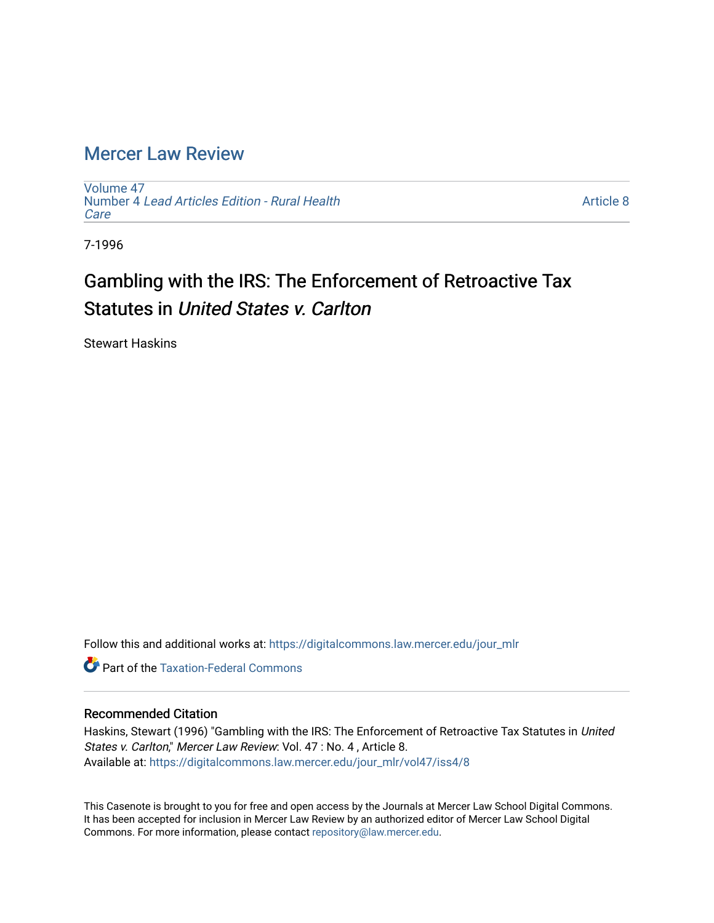# [Mercer Law Review](https://digitalcommons.law.mercer.edu/jour_mlr)

[Volume 47](https://digitalcommons.law.mercer.edu/jour_mlr/vol47) Number 4 [Lead Articles Edition - Rural Health](https://digitalcommons.law.mercer.edu/jour_mlr/vol47/iss4) **Care** 

[Article 8](https://digitalcommons.law.mercer.edu/jour_mlr/vol47/iss4/8) 

7-1996

# Gambling with the IRS: The Enforcement of Retroactive Tax Statutes in United States v. Carlton

Stewart Haskins

Follow this and additional works at: [https://digitalcommons.law.mercer.edu/jour\\_mlr](https://digitalcommons.law.mercer.edu/jour_mlr?utm_source=digitalcommons.law.mercer.edu%2Fjour_mlr%2Fvol47%2Fiss4%2F8&utm_medium=PDF&utm_campaign=PDFCoverPages)

**C** Part of the [Taxation-Federal Commons](http://network.bepress.com/hgg/discipline/881?utm_source=digitalcommons.law.mercer.edu%2Fjour_mlr%2Fvol47%2Fiss4%2F8&utm_medium=PDF&utm_campaign=PDFCoverPages)

### Recommended Citation

Haskins, Stewart (1996) "Gambling with the IRS: The Enforcement of Retroactive Tax Statutes in United States v. Carlton," Mercer Law Review: Vol. 47 : No. 4, Article 8. Available at: [https://digitalcommons.law.mercer.edu/jour\\_mlr/vol47/iss4/8](https://digitalcommons.law.mercer.edu/jour_mlr/vol47/iss4/8?utm_source=digitalcommons.law.mercer.edu%2Fjour_mlr%2Fvol47%2Fiss4%2F8&utm_medium=PDF&utm_campaign=PDFCoverPages)

This Casenote is brought to you for free and open access by the Journals at Mercer Law School Digital Commons. It has been accepted for inclusion in Mercer Law Review by an authorized editor of Mercer Law School Digital Commons. For more information, please contact [repository@law.mercer.edu.](mailto:repository@law.mercer.edu)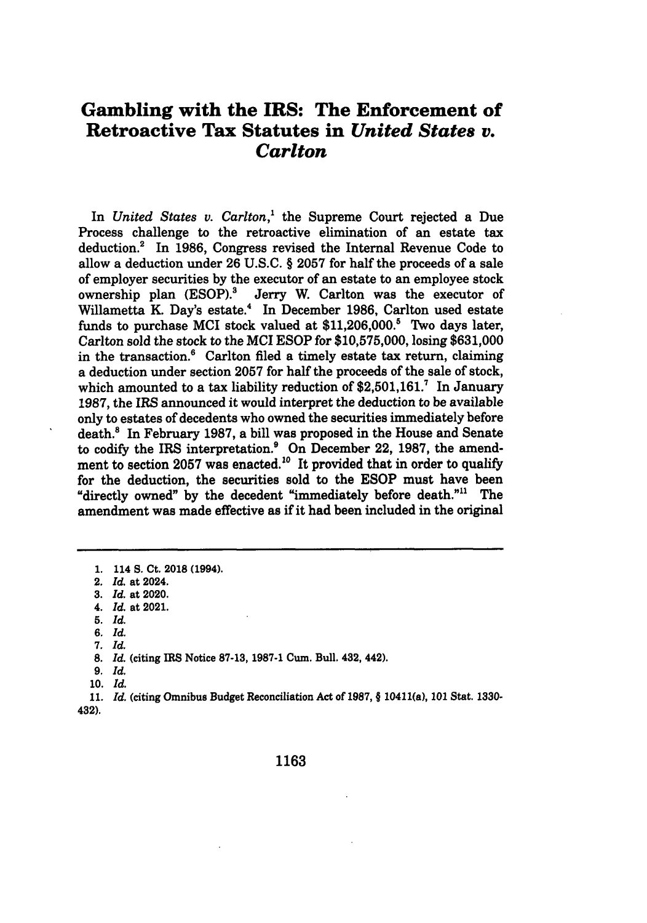## **Gambling with the IRS: The Enforcement of Retroactive Tax Statutes in** *United States v. Carlton*

In *United States v. Carlton,'* the Supreme Court rejected a Due Process challenge to the retroactive elimination of an estate tax deduction.<sup>2</sup> In 1986, Congress revised the Internal Revenue Code to allow a deduction under 26 U.S.C. § 2057 for half the proceeds of a sale of employer securities by the executor of an estate to an employee stock ownership plan (ESOP).<sup>3</sup> Jerry W. Carlton was the executor of Willametta K. Day's estate.4 In December **1986,** Carlton used estate funds to purchase **MCI** stock valued at \$11,206,000.? Two days later, Carlton sold the stock to the **MCI** ESOP for \$10,575,000, losing \$631,000 in the transaction. $6$  Carlton filed a timely estate tax return, claiming a deduction under section 2057 for half the proceeds of the sale of stock, which amounted to a tax liability reduction of  $2.501,161$ .<sup>7</sup> In January 1987, the IRS announced it would interpret the deduction to be available only to estates of decedents who owned the securities immediately before death.<sup>8</sup> In February 1987, a bill was proposed in the House and Senate to codify the IRS interpretation? On December 22, 1987, the amendment to section 2057 was enacted.<sup>10</sup> It provided that in order to qualify for the deduction, the securities sold to the ESOP must have been "directly owned" by the decedent "immediately before death."<sup>11</sup> The amendment was made effective as if it had been included in the original

**5.** *Id.*

*6. Id.*

- 8. *Id.* (citing **IRS** Notice 87-13, 1987-1 Cum. Bull. 432, 442).
- *9. Id.*

10. *Id.*

**11.** *Id.* (citing Omnibus Budget Reconciliation Act of 1987, **§** 10411(a), **101** Stat. **1330-** 432).

**<sup>1.</sup>** 114 **S.** Ct. 2018 (1994).

<sup>2.</sup> *Id.* at 2024.

**<sup>3.</sup>** *Id.* at 2020.

*<sup>4.</sup> Id.* at 2021.

**<sup>7.</sup>** *Id.*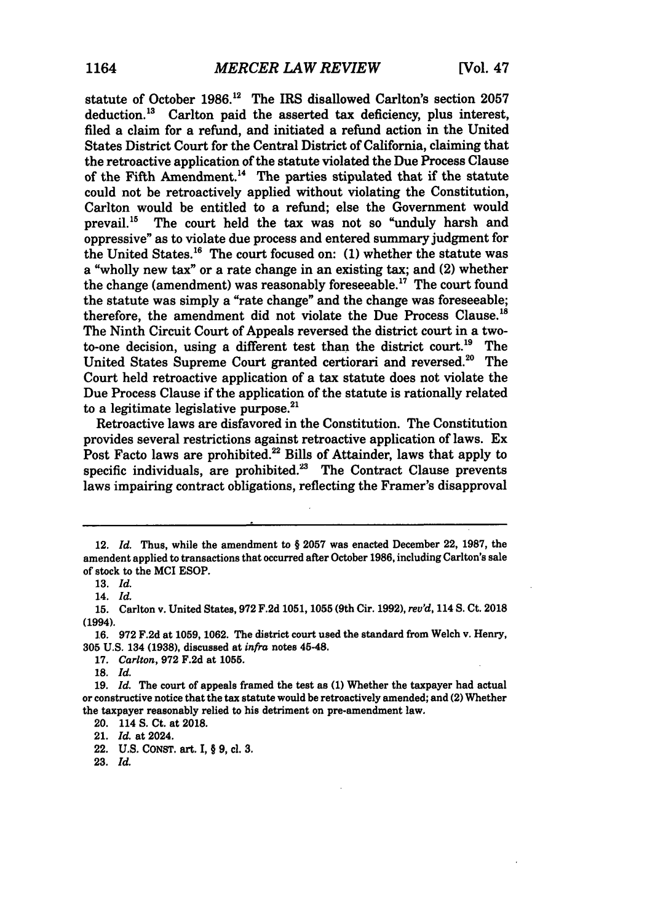statute of October **1986.12** The IRS disallowed Carlton's section **2057** deduction.<sup>13</sup> Carlton paid the asserted tax deficiency, plus interest, filed a claim for a refund, and initiated a refund action in the United States District Court for the Central District of California, claiming that the retroactive application of the statute violated the Due Process Clause of the Fifth Amendment.<sup>14</sup> The parties stipulated that if the statute could not be retroactively applied without violating the Constitution, Carlton would be entitled to a refund; else the Government would prevail.<sup>15</sup> The court held the tax was not so "unduly harsh and oppressive" as to violate due process and entered summary judgment for the United States.<sup>16</sup> The court focused on: (1) whether the statute was a "wholly new tax" or a rate change in an existing tax; and (2) whether the change (amendment) was reasonably foreseeable.<sup>17</sup> The court found the statute was simply a "rate change" and the change was foreseeable; therefore, the amendment did not violate the Due Process Clause.<sup>18</sup> The Ninth Circuit Court of Appeals reversed the district court in a twoto-one decision, using a different test than the district court.<sup>19</sup> The United States Supreme Court granted certiorari and reversed.<sup>20</sup> The Court held retroactive application of a tax statute does not violate the Due Process Clause if the application of the statute is rationally related to a legitimate legislative purpose. $^{21}$ 

Retroactive laws are disfavored in the Constitution. The Constitution provides several restrictions against retroactive application of laws. Ex Post Facto laws are prohibited.<sup>22</sup> Bills of Attainder, laws that apply to specific individuals, are prohibited. $23$  The Contract Clause prevents laws impairing contract obligations, reflecting the Framer's disapproval

<sup>12.</sup> *Id.* Thus, while the amendment to § 2057 was enacted December 22, 1987, the amendent applied to transactions that occurred after October **1986,** including Carlton's sale of stock to the MCI **ESOP.**

**<sup>13.</sup>** *Id.*

<sup>14.</sup> *Id.*

**<sup>15.</sup>** Carlton v. United States, **972 F.2d 1051, 1055** (9th Cir. **1992),** *reu'd,* 114 **S.** Ct. **2018** (1994).

**<sup>1.6.</sup> 972 F.2d** at **1059, 1062.** The district court used the standard from Welch v. Henry, **305 U.S.** 134 **(1938),** discussed at *infra* notes 45-48.

**<sup>17.</sup>** *Carlton,* **972 F.2d** at **1055.**

**<sup>18.</sup>** *Id.*

**<sup>19.</sup>** *Id.* The court of appeals framed the test as **(1)** Whether the taxpayer had actual or constructive notice that the tax statute would be retroactively amended; and (2) Whether the taxpayer reasonably relied to his detriment on pre-amendment law.

<sup>20. 114</sup> **S.** Ct. at 2018.

<sup>21.</sup> *Id.* at 2024.

<sup>22.</sup> **U.S. CONST.** art. **I,** § **9,** cl. **3.**

**<sup>23.</sup>** *Id.*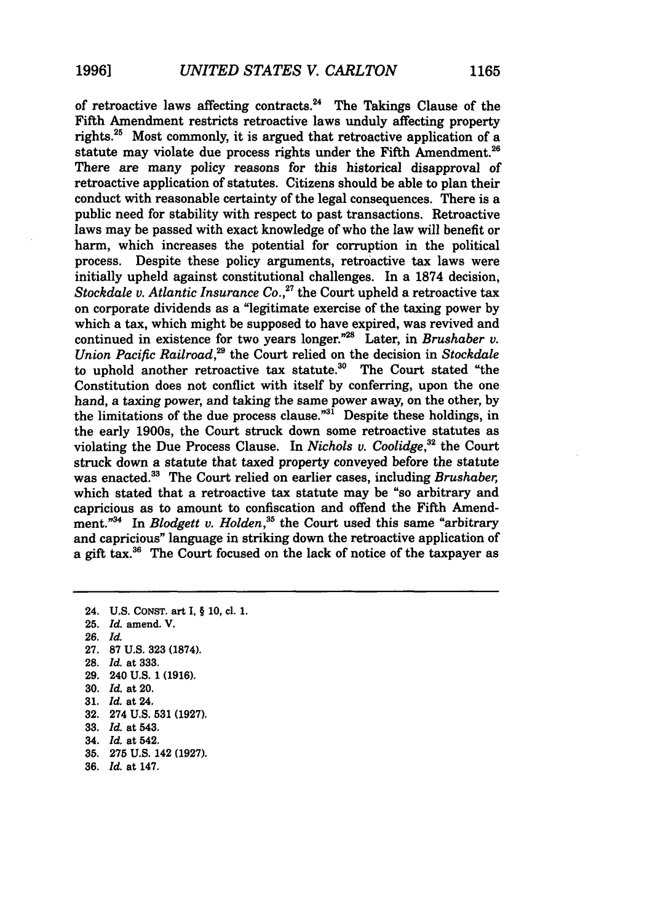of retroactive laws affecting contracts. 24 The Takings Clause of the Fifth Amendment restricts retroactive laws unduly affecting property rights.25 Most commonly, it is argued that retroactive application of a statute may violate due process rights under the Fifth Amendment.<sup>26</sup> There are many policy reasons for this historical disapproval of retroactive application of statutes. Citizens should be able to plan their conduct with reasonable certainty of the legal consequences. There is a public need for stability with respect to past transactions. Retroactive laws may be passed with exact knowledge of who the law will benefit or harm, which increases the potential for corruption in the political process. Despite these policy arguments, retroactive tax laws were initially upheld against constitutional challenges. In a 1874 decision, *Stockdale v. Atlantic Insurance Co.*<sup>27</sup> the Court upheld a retroactive tax on corporate dividends as a "legitimate exercise of the taxing power by which a tax, which might be supposed to have expired, was revived and continued in existence for two years longer."<sup>28</sup> Later, in *Brushaber v. Union Pacific Railroad,29* the Court relied on the decision in *Stockdale* to uphold another retroactive tax statute. $30$  The Court stated "the Constitution does not conflict with itself by conferring, upon the one hand, a taxing power, and taking the same power away, on the other, by the limitations of the due process clause."<sup>31</sup> Despite these holdings, in the early 1900s, the Court struck down some retroactive statutes as violating the Due Process Clause. In *Nichols v. Coolidge,32* the Court struck down a statute that taxed property conveyed before the statute was enacted.<sup>33</sup> The Court relied on earlier cases, including *Brushaber*, which stated that a retroactive tax statute may be "so arbitrary and capricious as to amount to confiscation and offend the Fifth Amendment."<sup>34</sup> In *Blodgett v. Holden*,<sup>35</sup> the Court used this same "arbitrary and capricious" language in striking down the retroactive application of a gift tax.<sup>36</sup> The Court focused on the lack of notice of the taxpayer as

24. U.S. **CONST.** art I, § 10, cl. **1.**

- 25. *Id.* amend. V.
- *26. Id.*
- 27. **87** U.S. **323 (1874).**
- **28.** *Id.* at 333.
- **29.** 240 U.S. 1 **(1916).**
- **30.** *Id.* at 20.
- **31.** *Id.* at 24.
- **32.** 274 **U.S. 531 (1927).**
- **33.** *Id.* at 543.
- 34. *Id.* at 542.
- **35. 275 U.S.** 142 **(1927).**
- **36,** *Id.* at 147.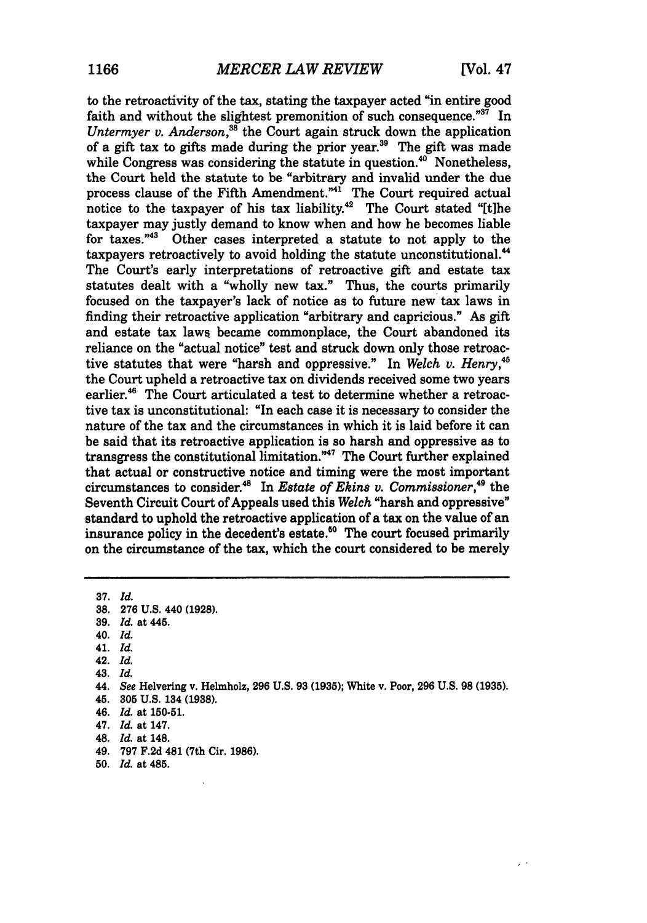to the retroactivity of the tax, stating the taxpayer acted "in entire good faith and without the slightest premonition of such consequence."<sup>37</sup> In *Untermyer v. Anderson*<sup>38</sup>, the Court again struck down the application of a gift tax to gifts made during the prior year.39 The gift was made while Congress was considering the statute in question.<sup>40</sup> Nonetheless, the Court held the statute to be "arbitrary and invalid under the due process clause of the Fifth Amendment.<sup>"41</sup> The Court required actual notice to the taxpayer of his tax liability.<sup>42</sup> The Court stated "[t]he taxpayer may justly demand to know when and how he becomes liable for taxes."43 Other cases interpreted a statute to not apply to the taxpayers retroactively to avoid holding the statute unconstitutional.<sup>44</sup> The Court's early interpretations of retroactive gift and estate tax statutes dealt with a "wholly new tax." Thus, the courts primarily focused on the taxpayer's lack of notice as to future new tax laws in finding their retroactive application "arbitrary and capricious." As gift and estate tax laws became commonplace, the Court abandoned its reliance on the "actual notice" test and struck down only those retroactive statutes that were "harsh and oppressive." In *Welch v. Henry,48* the Court upheld a retroactive tax on dividends received some two years earlier.<sup>46</sup> The Court articulated a test to determine whether a retroactive tax is unconstitutional: "In each case it is necessary to consider the nature of the tax and the circumstances in which it is laid before it can be said that its retroactive application is so harsh and oppressive as to transgress the constitutional limitation."<sup>47</sup> The Court further explained that actual or constructive notice and timing were the most important circumstances to consider.<sup>48</sup> In *Estate of Ekins v. Commissioner*,<sup>49</sup> the Seventh Circuit Court of Appeals used this *Welch* "harsh and oppressive" standard to uphold the retroactive application of a tax on the value of an insurance policy in the decedent's estate.<sup>50</sup> The court focused primarily on the circumstance of the tax, which the court considered to be merely

**37.** *Id.* **38, 276 U.S.** 440 **(1928). 39.** *Id.* at 445. 40. *Id.* 41. *Id.* 42. *Id.* **43.** *Id.*

- 45. **305 U.S.** 134 **(1938).**
- 46. *Id.* at **150-51.**
- 47. *Id.* at 147.
- 48. *Id.* at 148.
- 49. **797 F.2d** 481 (7th Cir. **1986).**
- **50.** *Id.* at 485.

<sup>44.</sup> See Helvering v. Helmholz, **296 U.S. 93 (1935);** White v. Poor, **296 U.S. 98 (1935).**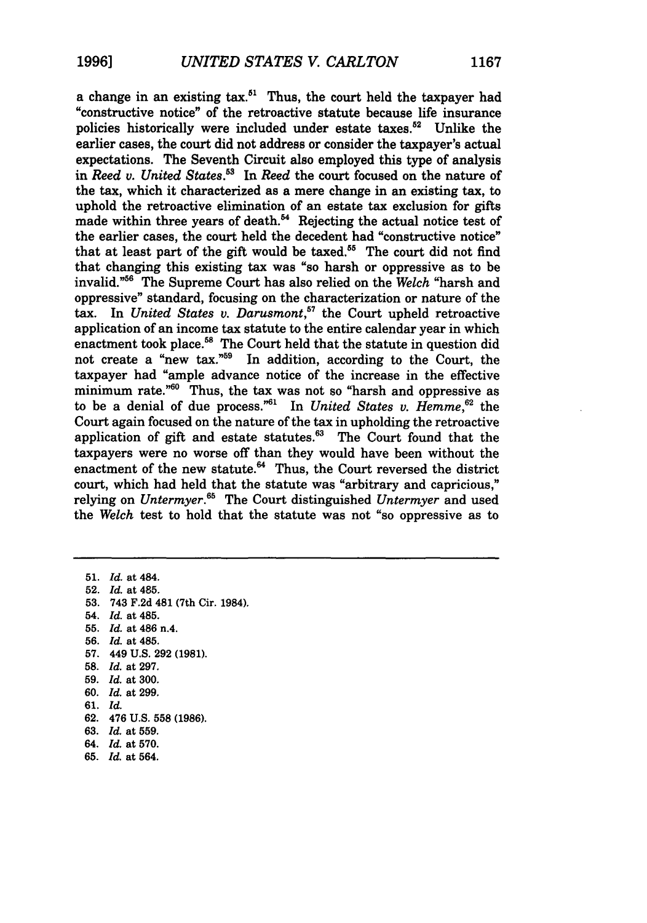a change in an existing  $\text{tax}.^{51}$  Thus, the court held the taxpayer had "constructive notice" of the retroactive statute because life insurance policies historically were included under estate taxes.<sup>52</sup> Unlike the earlier cases, the court did not address or consider the taxpayer's actual expectations. The Seventh Circuit also employed this type of analysis in *Reed* **v.** *United States.53* In *Reed* the court focused on the nature of the tax, which it characterized as a mere change in an existing tax, to uphold the retroactive elimination of an estate tax exclusion for gifts made within three years of death.<sup>54</sup> Rejecting the actual notice test of the earlier cases, the court held the decedent had "constructive notice" that at least part of the gift would be taxed.<sup>55</sup> The court did not find that changing this existing tax was "so harsh or oppressive as to be invalid."<sup>56</sup> The Supreme Court has also relied on the *Welch* "harsh and oppressive" standard, focusing on the characterization or nature of the tax. In *United States v. Darusmont*,<sup>57</sup> the Court upheld retroactive application of an income tax statute to the entire calendar year in which enactment took place.<sup>58</sup> The Court held that the statute in question did not create a "new tax."59 In addition, according to the Court, the taxpayer had "ample advance notice of the increase in the effective minimum rate."<sup>60</sup> Thus, the tax was not so "harsh and oppressive as to be a denial of due process."61 In *United States v. Hemme,62* the Court again focused on the nature of the tax in upholding the retroactive application of gift and estate statutes.<sup>63</sup> The Court found that the taxpayers were no worse off than they would have been without the enactment of the new statute.<sup>64</sup> Thus, the Court reversed the district court, which had held that the statute was "arbitrary and capricious," relying on *Untermyer*.<sup>65</sup> The Court distinguished *Untermyer* and used the *Welch* test to hold that the statute was not "so oppressive as to

51. *Id.* at 484. 52. *Id.* at 485. **53.** 743 F.2d 481 (7th Cir. 1984). 54. *Id.* at 485. 55. *Id.* at 486 n.4. 56. *Id.* at 485. 57. 449 U.S. 292 **(1981). 58.** *Id.* at 297. 59. *Id.* at 300. 60. *Id.* at 299. 61. *Id.* 62. 476 U.S. **558** (1986). **63.** *Id.* at 559. 64. *Id.* at 570. **65.** *Id.* at 564.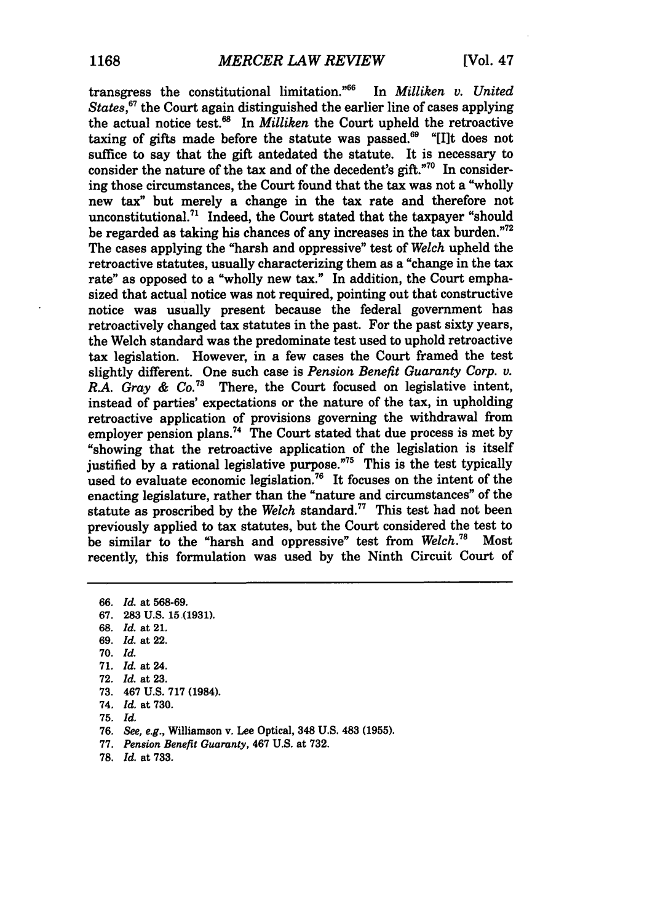transgress the constitutional limitation."66 In *Milliken v. United States*,<sup>*67*</sup> the Court again distinguished the earlier line of cases applying the actual notice test.<sup>68</sup> In *Milliken* the Court upheld the retroactive taxing of gifts made before the statute was passed.<sup>69</sup> "Ilt does not suffice to say that the gift antedated the statute. It is necessary to consider the nature of the tax and of the decedent's gift."<sup>70</sup> In considering those circumstances, the Court found that the tax was not a "wholly new tax" but merely a change in the tax rate and therefore not unconstitutional.<sup>71</sup> Indeed, the Court stated that the taxpayer "should be regarded as taking his chances of any increases in the tax burden."<sup>72</sup> The cases applying the "harsh and oppressive" test of *Welch* upheld the retroactive statutes, usually characterizing them as a "change in the tax rate" as opposed to a "wholly new tax." In addition, the Court emphasized that actual notice was not required, pointing out that constructive notice was usually present because the federal government has retroactively changed tax statutes in the past. For the past sixty years, the Welch standard was the predominate test used to uphold retroactive tax legislation. However, in a few cases the Court framed the test slightly different. One such case is *Pension Benefit Guaranty Corp. v. R.A. Gray & Co.*<sup>73</sup> There, the Court focused on legislative intent, instead of parties' expectations or the nature of the tax, in upholding retroactive application of provisions governing the withdrawal from employer pension plans.<sup>74</sup> The Court stated that due process is met by "showing that the retroactive application of the legislation is itself justified **by** a rational legislative purpose."75 This is the test typically used to evaluate economic legislation.<sup>76</sup> It focuses on the intent of the enacting legislature, rather than the "nature and circumstances" of the statute as proscribed **by** the *Welch* standard.77 This test had not been previously applied to tax statutes, but the Court considered the test to be similar to the "harsh and oppressive" test from  $Welch.<sup>78</sup>$  Most be similar to the "harsh and oppressive" test from *Welch*.<sup>78</sup> recently, this formulation was used **by** the Ninth Circuit Court of

**66.** *Id.* at **568-69. 67, 283 U.S. 15,(1931). 68,** *Id,* **at** 21. **69.** *Id.* at 22. **70,** *Id,* **71.** *Id.* at 24. **72.** *Id.* at **23. 73.** 467 **U.S. 717** (1984). 74. *Id.* at **730. 75.** *Id.* **76.** *See, e.g.,* Williamson v. Lee Optical, 348 **U.S.** 483 **(1955). 77.** *Pension Benefit Guaranty,* 467 **U.S.** at **732.**

**78.** *Id.* at **733.**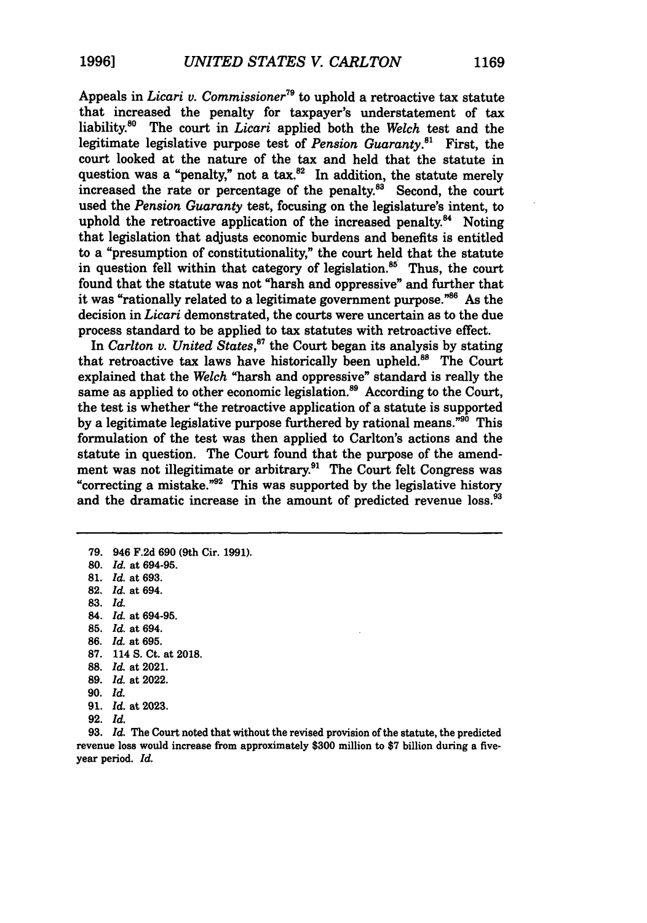Appeals in *Licari v. Commissioner*<sup>79</sup> to uphold a retroactive tax statute that increased the penalty for taxpayer's understatement of tax liability.<sup>80</sup> The court in *Licari* applied both the *Welch* test and the legitimate legislative purpose test of *Pension Guaranty."'* First, the court looked at the nature of the tax and held that the statute in question was a "penalty," not a tax. $^{82}$  In addition, the statute merely increased the rate or percentage of the penalty. $8^3$  Second, the court used the *Pension Guaranty* test, focusing on the legislature's intent, to uphold the retroactive application of the increased penalty.<sup>84</sup> Noting that legislation that adjusts economic burdens and benefits is entitled to a "presumption of constitutionality," the court held that the statute in question fell within that category of legislation.<sup>85</sup> Thus, the court found that the statute was not "harsh and oppressive" and further that it was "rationally related to a legitimate government purpose." $86$  As the decision in *Licari* demonstrated, the courts were uncertain as to the due process standard to be applied to tax statutes with retroactive effect.

In *Carlton v. United States*,<sup>87</sup> the Court began its analysis by stating that retroactive tax laws have historically been upheld.<sup>88</sup> The Court explained that the *Welch* "harsh and oppressive" standard is really the same as applied to other economic legislation.<sup>89</sup> According to the Court, the test is whether "the retroactive application of a statute is supported by a legitimate legislative purpose furthered by rational means."90 This formulation of the test was then applied to Carlton's actions and the statute in question. The Court found that the purpose of the amendment was not illegitimate or arbitrary.<sup>91</sup> The Court felt Congress was "correcting a mistake." $92$  This was supported by the legislative history and the dramatic increase in the amount of predicted revenue loss.<sup>93</sup>

80. *Id.* at **694-95.** 81. *Id.* at **693. 82.** *Id.* at 694. **83.** *Id.* 84. *Id.* at **694-95. 85.** *Id.* at 694. **86.** *Id.* at **695.**

**79.** 946 F.2d **690** (9th Cir. **1991).**

- **87,** 114 **S.** Ct. at **2018.**
- **88.** *Id.* at 2021.
- **89.** *Id.* at 2022.
- **90.** *Id.*
- **91.** *Id.* at **2023.**
- **92.** *Id.*

**93.** *Id.* The Court noted that without the revised provision of the statute, the predicted revenue **loss** would increase from approximately \$300 million to \$7 billion during a fiveyear period. *Id.*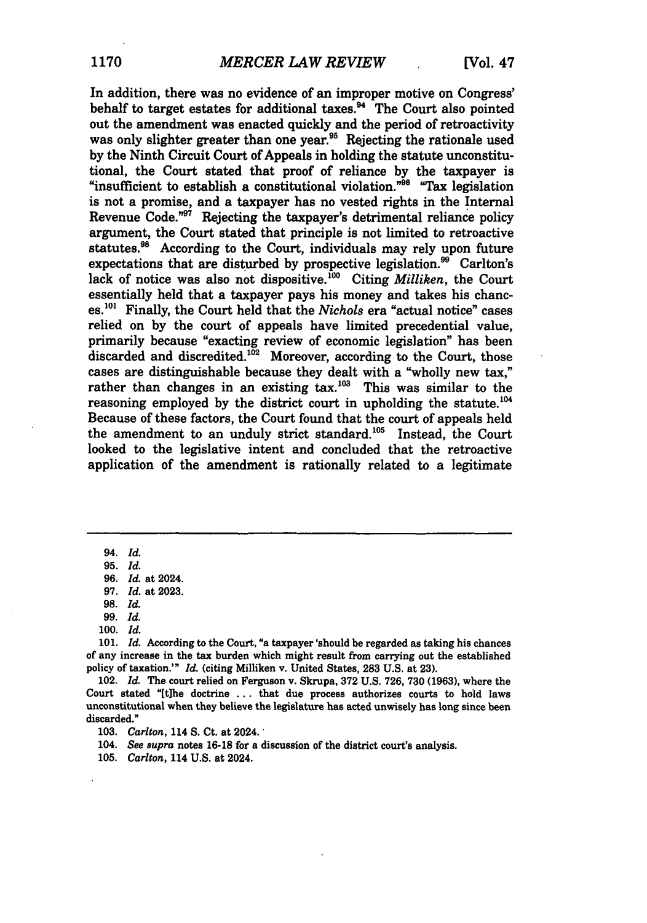In addition, there was no evidence of an improper motive on Congress' behalf to target estates for additional taxes.<sup>84</sup> The Court also pointed out the amendment was enacted quickly and the period of retroactivity was only slighter greater than one year.<sup>95</sup> Rejecting the rationale used **by** the Ninth Circuit Court of Appeals **in** holding the statute unconstitutional, the Court stated that proof of reliance **by** the taxpayer is "insufficient to establish a constitutional violation."<sup>56</sup> "Tax legislation is not a promise, and a taxpayer has no vested rights in the Internal Revenue Code."97 Rejecting the taxpayer's detrimental reliance policy argument, the Court stated that principle is not limited to retroactive statutes.<sup>98</sup> According to the Court, individuals may rely upon future expectations that are disturbed by prospective legislation.<sup>99</sup> Carlton's lack of notice was also not dispositive.<sup>100</sup> Citing *Milliken*, the Court essentially held that a taxpayer pays his money and takes his chances.<sup>101</sup> Finally, the Court held that the *Nichols* era "actual notice" cases relied on **by** the court of appeals have limited precedential value, primarily because "exacting review of economic legislation" has been discarded and discredited.<sup>102</sup> Moreover, according to the Court, those cases are distinguishable because they dealt with a "wholly new tax," rather than changes in an existing tax.<sup>103</sup> This was similar to the reasoning employed **by** the district court in upholding the statute.'04 Because of these factors, the Court found that the court of appeals held the amendment to an unduly strict standard.<sup>105</sup> Instead, the Court looked to the legislative intent and concluded that the retroactive application of the amendment is rationally related to a legitimate

**100.** *Id.*

<sup>94.</sup> *Id.*

**<sup>95.</sup>** *Id.*

**<sup>96.</sup>** *Id.* at 2024.

**<sup>97.</sup>** *Id.* at 2023.

<sup>98.</sup> *Id.*

**<sup>99.</sup>** Id.

**<sup>101.</sup>** *Id.* According to the Court, "a taxpayer 'should be regarded as taking his chances of any increase in the tax burden which might result from carrying out the established policy of taxation.'" *Id.* (citing Milliken v. United States, **283 U.S.** at **23).**

<sup>102.</sup> *Id.* The court relied on Ferguson v. Skrupa, **372** U.S. **726, 730 (1963),** where the Court stated "[t]he doctrine **...** that due process authorizes courts to hold laws unconstitutional when they believe the legislature has acted unwisely has long since been discarded."

**<sup>103.</sup>** *Carlton,* **114 S.** Ct. at 2024.'

<sup>104.</sup> *See supra* notes **16-18** for a discussion of the district court's analysis.

**<sup>105.</sup>** *Carlton,* 114 U.S. at 2024.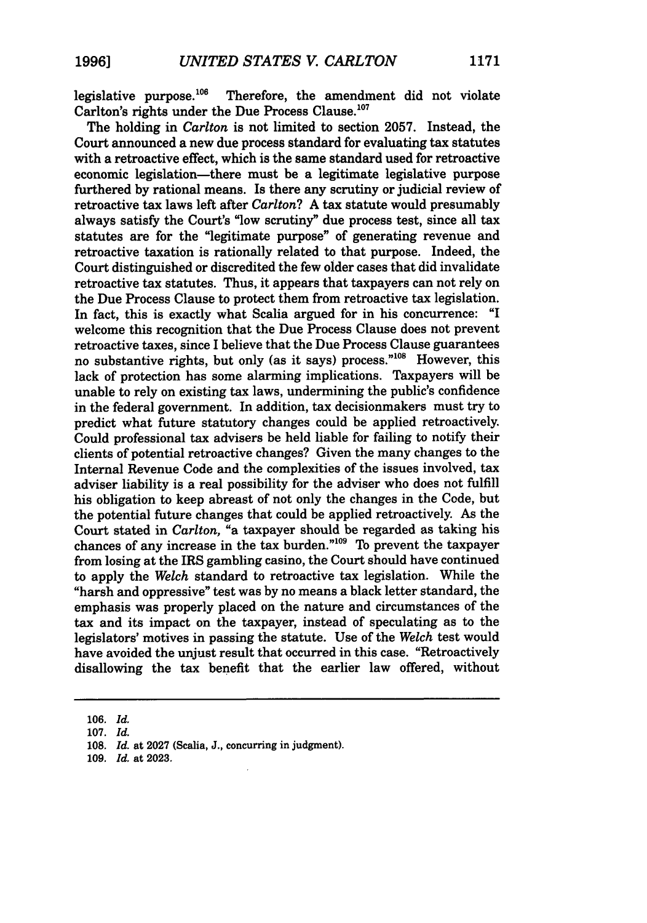legislative purpose.<sup>106</sup> Therefore, the amendment did not violate Carlton's rights under the Due Process Clause.<sup>107</sup>

The holding in *Carlton* is not limited to section **2057.** Instead, the Court announced a new due process standard for evaluating tax statutes with a retroactive effect, which is the same standard used for retroactive economic legislation-there must be a legitimate legislative purpose furthered **by** rational means. Is there any scrutiny or judicial review of retroactive tax laws left after *Carlton?* **A** tax statute would presumably always satisfy the Court's "low scrutiny" due process test, since all tax statutes are for the "legitimate purpose" of generating revenue and retroactive taxation is rationally related to that purpose. Indeed, the Court distinguished or discredited the few older cases that did invalidate retroactive tax statutes. Thus, it appears that taxpayers can not rely on the Due Process Clause to protect them from retroactive tax legislation. In fact, this is exactly what Scalia argued for in his concurrence: **"I** welcome this recognition that the Due Process Clause does not prevent retroactive taxes, since I believe that the Due Process Clause guarantees no substantive rights, but only (as it says) process."0" However, this lack of protection has some alarming implications. Taxpayers will be unable to rely on existing tax laws, undermining the public's confidence in the federal government. In addition, tax decisionmakers must try to predict what future statutory changes could be applied retroactively. Could professional tax advisers be held liable for failing to notify their clients of potential retroactive changes? Given the many changes to the Internal Revenue Code and the complexities of the issues involved, tax adviser liability is a real possibility for the adviser who does not fulfill his obligation to keep abreast of not only the changes in the Code, but the potential future changes that could be applied retroactively. As the Court stated in *Carlton,* "a taxpayer should be regarded as taking his chances of any increase in the tax burden."<sup>109</sup> To prevent the taxpayer from losing at the IRS gambling casino, the Court should have continued to apply the *Welch* standard to retroactive tax legislation. While the "harsh and oppressive" test was by no means a black letter standard, the emphasis was properly placed on the nature and circumstances of the tax and its impact on the taxpayer, instead of speculating as to the legislators' motives in passing the statute. Use of the *Welch* test would have avoided the unjust result that occurred in this case. "Retroactively disallowing the tax benefit that the earlier law offered, without

<sup>106.</sup> *Id.*

<sup>107.</sup> *Id.*

<sup>108.</sup> *Id.* at **2027** (Scalia, **J.,** concurring in judgment).

<sup>109.</sup> *Id.* at 2023.